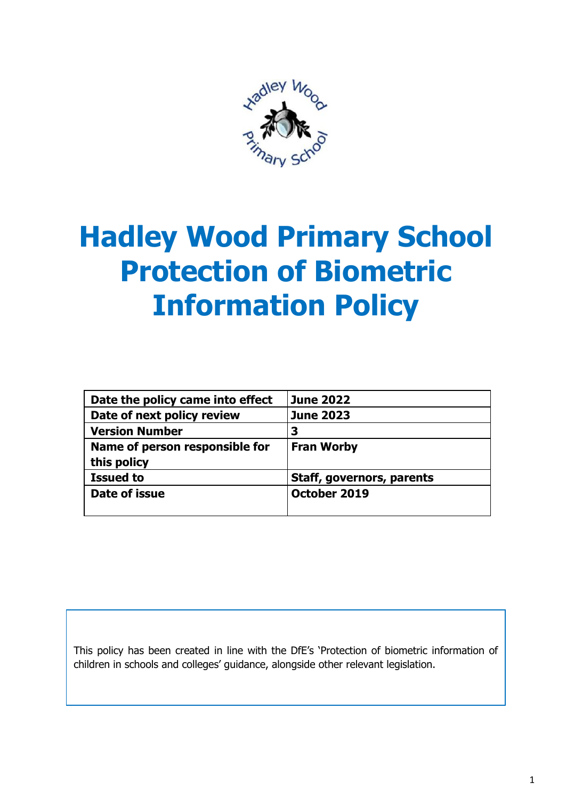

# **Hadley Wood Primary School Protection of Biometric Information Policy**

| Date the policy came into effect | <b>June 2022</b>          |
|----------------------------------|---------------------------|
| Date of next policy review       | <b>June 2023</b>          |
| <b>Version Number</b>            | 3                         |
| Name of person responsible for   | <b>Fran Worby</b>         |
| this policy                      |                           |
| <b>Issued to</b>                 | Staff, governors, parents |
| Date of issue                    | October 2019              |

This policy has been created in line with the DfE's 'Protection of biometric information of children in schools and colleges' guidance, alongside other relevant legislation.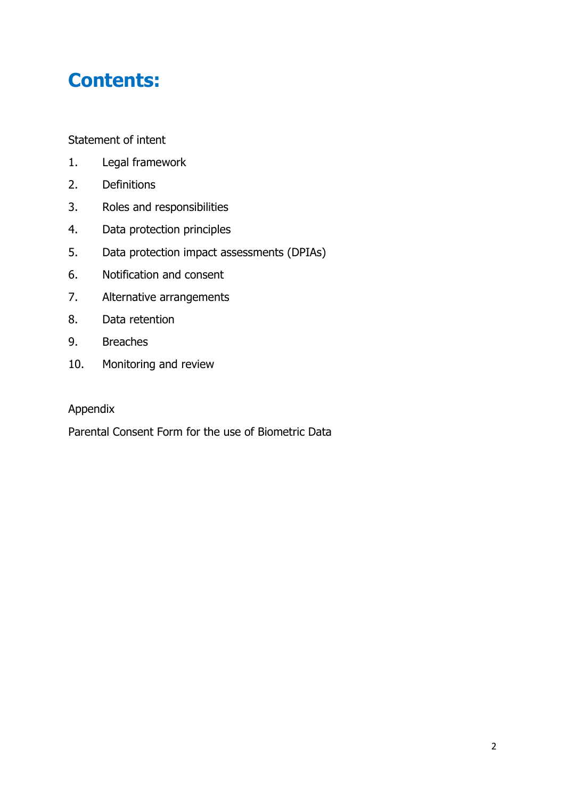# **Contents:**

Statement of intent

- 1. Legal framework
- 2. Definitions
- 3. Roles and responsibilities
- 4. Data protection principles
- 5. Data protection impact assessments (DPIAs)
- 6. Notification and consent
- 7. Alternative arrangements
- 8. Data retention
- 9. Breaches
- 10. Monitoring and review

#### Appendix

Parental Consent Form for the use of Biometric Data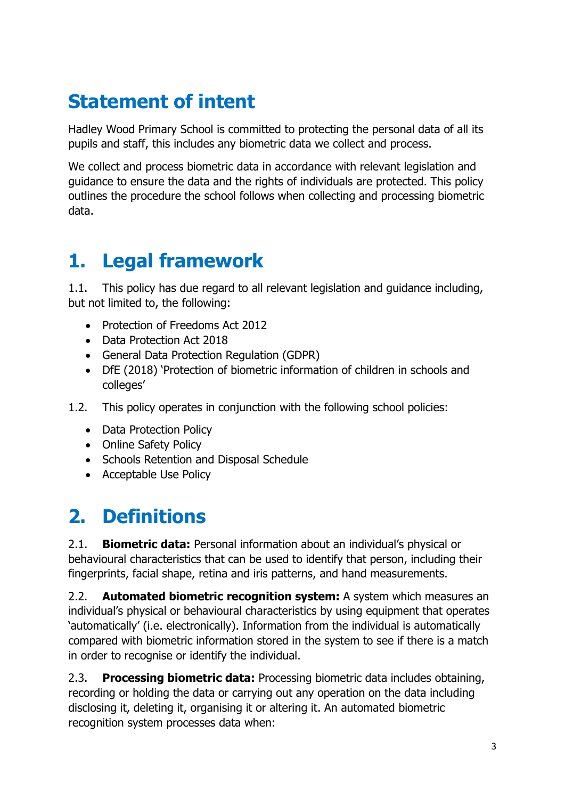# **Statement of intent**

Hadley Wood Primary School is committed to protecting the personal data of all its pupils and staff, this includes any biometric data we collect and process.

We collect and process biometric data in accordance with relevant legislation and guidance to ensure the data and the rights of individuals are protected. This policy outlines the procedure the school follows when collecting and processing biometric data.

#### **1. Legal framework**

1.1. This policy has due regard to all relevant legislation and guidance including, but not limited to, the following:

- Protection of Freedoms Act 2012
- Data Protection Act 2018
- General Data Protection Regulation (GDPR)
- DfE (2018) 'Protection of biometric information of children in schools and colleges'
- 1.2. This policy operates in conjunction with the following school policies:
	- Data Protection Policy
	- Online Safety Policy
	- Schools Retention and Disposal Schedule
	- Acceptable Use Policy

### **2. Definitions**

2.1. **Biometric data:** Personal information about an individual's physical or behavioural characteristics that can be used to identify that person, including their fingerprints, facial shape, retina and iris patterns, and hand measurements.

2.2. **Automated biometric recognition system:** A system which measures an individual's physical or behavioural characteristics by using equipment that operates 'automatically' (i.e. electronically). Information from the individual is automatically compared with biometric information stored in the system to see if there is a match in order to recognise or identify the individual.

2.3. **Processing biometric data:** Processing biometric data includes obtaining, recording or holding the data or carrying out any operation on the data including disclosing it, deleting it, organising it or altering it. An automated biometric recognition system processes data when: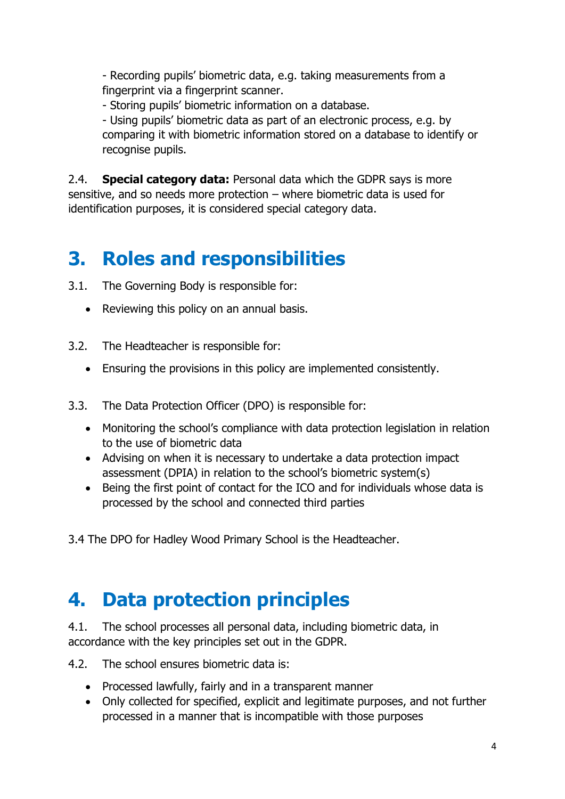- Recording pupils' biometric data, e.g. taking measurements from a fingerprint via a fingerprint scanner.

- Storing pupils' biometric information on a database.

- Using pupils' biometric data as part of an electronic process, e.g. by comparing it with biometric information stored on a database to identify or recognise pupils.

2.4. **Special category data:** Personal data which the GDPR says is more sensitive, and so needs more protection – where biometric data is used for identification purposes, it is considered special category data.

#### **3. Roles and responsibilities**

- 3.1. The Governing Body is responsible for:
	- Reviewing this policy on an annual basis.
- 3.2. The Headteacher is responsible for:
	- Ensuring the provisions in this policy are implemented consistently.
- 3.3. The Data Protection Officer (DPO) is responsible for:
	- Monitoring the school's compliance with data protection legislation in relation to the use of biometric data
	- Advising on when it is necessary to undertake a data protection impact assessment (DPIA) in relation to the school's biometric system(s)
	- Being the first point of contact for the ICO and for individuals whose data is processed by the school and connected third parties

3.4 The DPO for Hadley Wood Primary School is the Headteacher.

#### **4. Data protection principles**

4.1. The school processes all personal data, including biometric data, in accordance with the key principles set out in the GDPR.

4.2. The school ensures biometric data is:

- Processed lawfully, fairly and in a transparent manner
- Only collected for specified, explicit and legitimate purposes, and not further processed in a manner that is incompatible with those purposes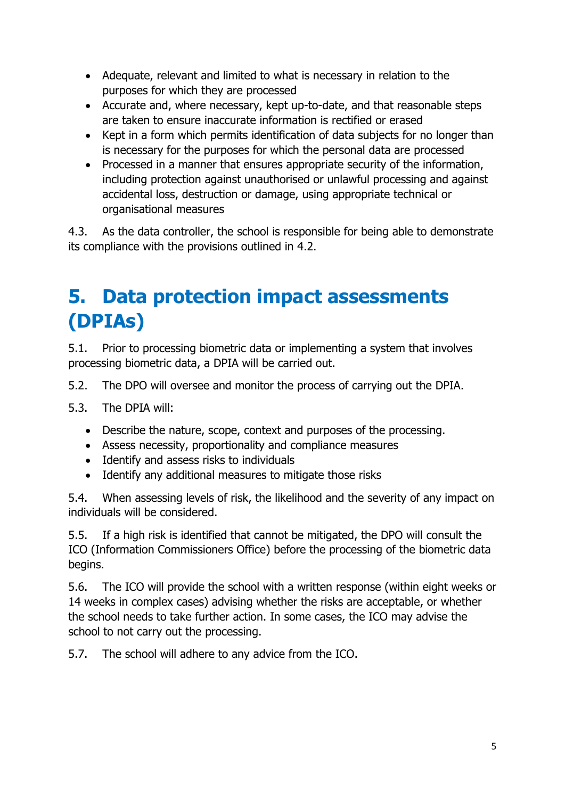- Adequate, relevant and limited to what is necessary in relation to the purposes for which they are processed
- Accurate and, where necessary, kept up-to-date, and that reasonable steps are taken to ensure inaccurate information is rectified or erased
- Kept in a form which permits identification of data subjects for no longer than is necessary for the purposes for which the personal data are processed
- Processed in a manner that ensures appropriate security of the information, including protection against unauthorised or unlawful processing and against accidental loss, destruction or damage, using appropriate technical or organisational measures

4.3. As the data controller, the school is responsible for being able to demonstrate its compliance with the provisions outlined in 4.2.

### **5. Data protection impact assessments (DPIAs)**

5.1. Prior to processing biometric data or implementing a system that involves processing biometric data, a DPIA will be carried out.

5.2. The DPO will oversee and monitor the process of carrying out the DPIA.

5.3. The DPIA will:

- Describe the nature, scope, context and purposes of the processing.
- Assess necessity, proportionality and compliance measures
- Identify and assess risks to individuals
- Identify any additional measures to mitigate those risks

5.4. When assessing levels of risk, the likelihood and the severity of any impact on individuals will be considered.

5.5. If a high risk is identified that cannot be mitigated, the DPO will consult the ICO (Information Commissioners Office) before the processing of the biometric data begins.

5.6. The ICO will provide the school with a written response (within eight weeks or 14 weeks in complex cases) advising whether the risks are acceptable, or whether the school needs to take further action. In some cases, the ICO may advise the school to not carry out the processing.

5.7. The school will adhere to any advice from the ICO.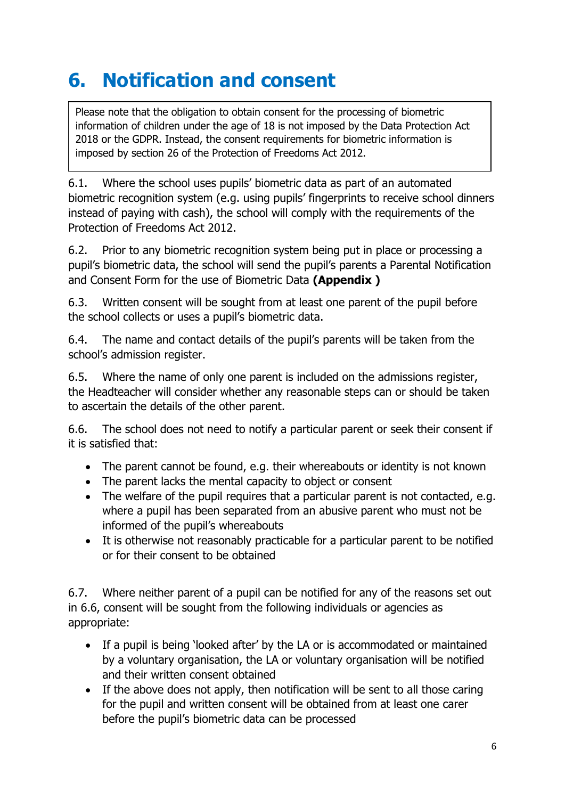### **6. Notification and consent**

Please note that the obligation to obtain consent for the processing of biometric information of children under the age of 18 is not imposed by the Data Protection Act 2018 or the GDPR. Instead, the consent requirements for biometric information is imposed by section 26 of the Protection of Freedoms Act 2012.

6.1. Where the school uses pupils' biometric data as part of an automated biometric recognition system (e.g. using pupils' fingerprints to receive school dinners instead of paying with cash), the school will comply with the requirements of the Protection of Freedoms Act 2012.

6.2. Prior to any biometric recognition system being put in place or processing a pupil's biometric data, the school will send the pupil's parents a Parental Notification and Consent Form for the use of Biometric Data **(Appendix )**

6.3. Written consent will be sought from at least one parent of the pupil before the school collects or uses a pupil's biometric data.

6.4. The name and contact details of the pupil's parents will be taken from the school's admission register.

6.5. Where the name of only one parent is included on the admissions register, the Headteacher will consider whether any reasonable steps can or should be taken to ascertain the details of the other parent.

6.6. The school does not need to notify a particular parent or seek their consent if it is satisfied that:

- The parent cannot be found, e.g. their whereabouts or identity is not known
- The parent lacks the mental capacity to object or consent
- The welfare of the pupil requires that a particular parent is not contacted, e.g. where a pupil has been separated from an abusive parent who must not be informed of the pupil's whereabouts
- It is otherwise not reasonably practicable for a particular parent to be notified or for their consent to be obtained

6.7. Where neither parent of a pupil can be notified for any of the reasons set out in 6.6, consent will be sought from the following individuals or agencies as appropriate:

- If a pupil is being 'looked after' by the LA or is accommodated or maintained by a voluntary organisation, the LA or voluntary organisation will be notified and their written consent obtained
- If the above does not apply, then notification will be sent to all those caring for the pupil and written consent will be obtained from at least one carer before the pupil's biometric data can be processed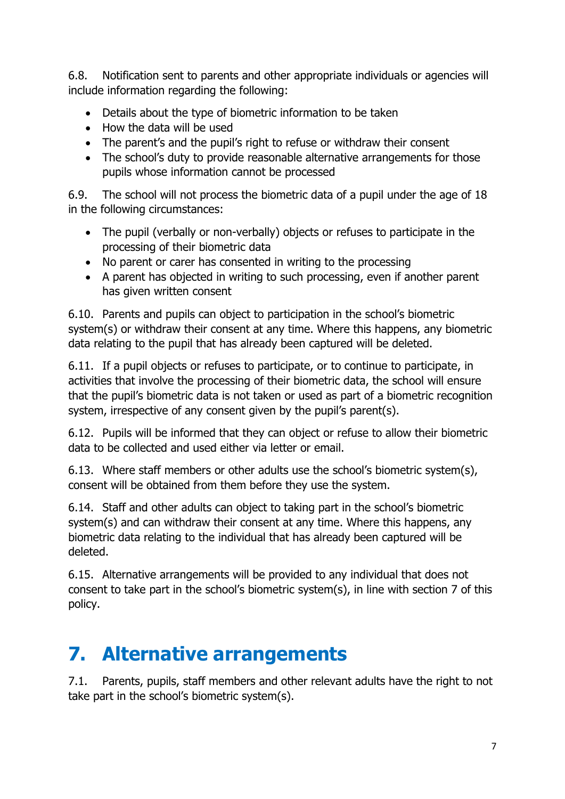6.8. Notification sent to parents and other appropriate individuals or agencies will include information regarding the following:

- Details about the type of biometric information to be taken
- How the data will be used
- The parent's and the pupil's right to refuse or withdraw their consent
- The school's duty to provide reasonable alternative arrangements for those pupils whose information cannot be processed

6.9. The school will not process the biometric data of a pupil under the age of 18 in the following circumstances:

- The pupil (verbally or non-verbally) objects or refuses to participate in the processing of their biometric data
- No parent or carer has consented in writing to the processing
- A parent has objected in writing to such processing, even if another parent has given written consent

6.10. Parents and pupils can object to participation in the school's biometric system(s) or withdraw their consent at any time. Where this happens, any biometric data relating to the pupil that has already been captured will be deleted.

6.11. If a pupil objects or refuses to participate, or to continue to participate, in activities that involve the processing of their biometric data, the school will ensure that the pupil's biometric data is not taken or used as part of a biometric recognition system, irrespective of any consent given by the pupil's parent(s).

6.12. Pupils will be informed that they can object or refuse to allow their biometric data to be collected and used either via letter or email.

6.13. Where staff members or other adults use the school's biometric system(s), consent will be obtained from them before they use the system.

6.14. Staff and other adults can object to taking part in the school's biometric system(s) and can withdraw their consent at any time. Where this happens, any biometric data relating to the individual that has already been captured will be deleted.

6.15. Alternative arrangements will be provided to any individual that does not consent to take part in the school's biometric system(s), in line with section 7 of this policy.

### **7. Alternative arrangements**

7.1. Parents, pupils, staff members and other relevant adults have the right to not take part in the school's biometric system(s).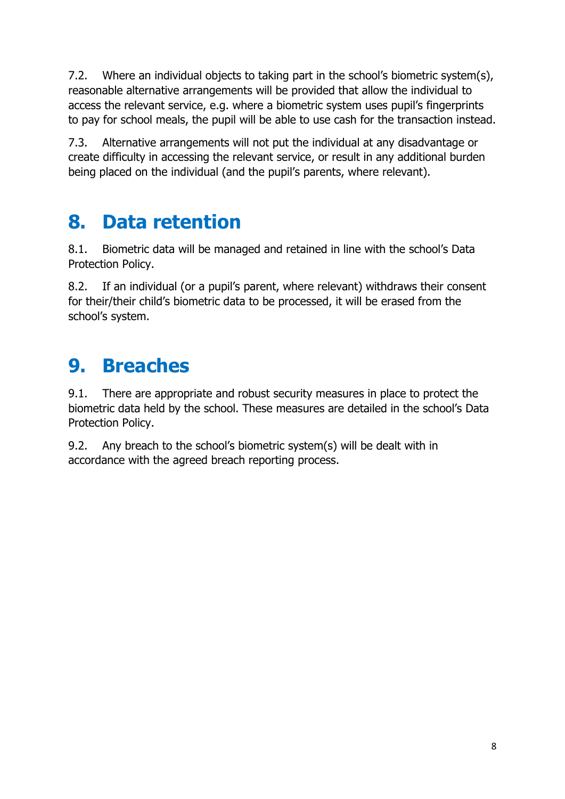7.2. Where an individual objects to taking part in the school's biometric system(s), reasonable alternative arrangements will be provided that allow the individual to access the relevant service, e.g. where a biometric system uses pupil's fingerprints to pay for school meals, the pupil will be able to use cash for the transaction instead.

7.3. Alternative arrangements will not put the individual at any disadvantage or create difficulty in accessing the relevant service, or result in any additional burden being placed on the individual (and the pupil's parents, where relevant).

### **8. Data retention**

8.1. Biometric data will be managed and retained in line with the school's Data Protection Policy.

8.2. If an individual (or a pupil's parent, where relevant) withdraws their consent for their/their child's biometric data to be processed, it will be erased from the school's system.

### **9. Breaches**

9.1. There are appropriate and robust security measures in place to protect the biometric data held by the school. These measures are detailed in the school's Data Protection Policy.

9.2. Any breach to the school's biometric system(s) will be dealt with in accordance with the agreed breach reporting process.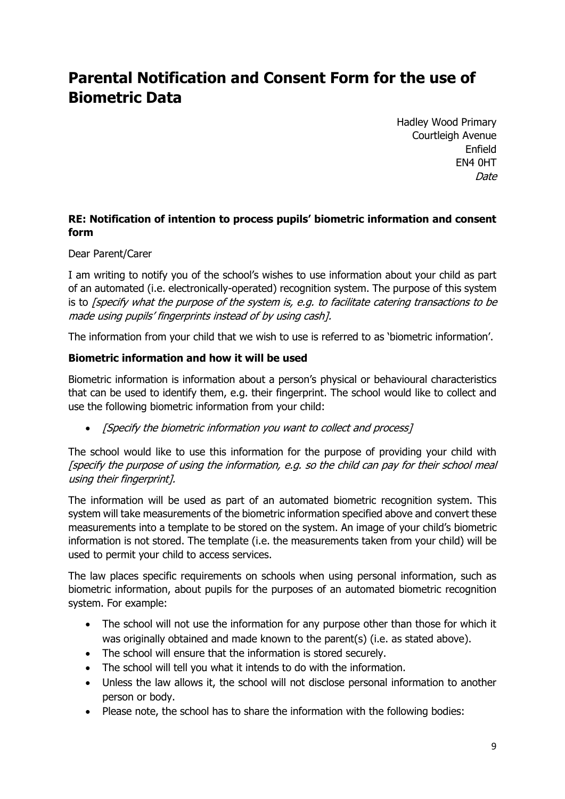#### **Parental Notification and Consent Form for the use of Biometric Data**

Hadley Wood Primary Courtleigh Avenue Enfield EN4 0HT Date

#### **RE: Notification of intention to process pupils' biometric information and consent form**

Dear Parent/Carer

I am writing to notify you of the school's wishes to use information about your child as part of an automated (i.e. electronically-operated) recognition system. The purpose of this system is to [specify what the purpose of the system is, e.g. to facilitate catering transactions to be made using pupils' fingerprints instead of by using cash].

The information from your child that we wish to use is referred to as 'biometric information'.

#### **Biometric information and how it will be used**

Biometric information is information about a person's physical or behavioural characteristics that can be used to identify them, e.g. their fingerprint. The school would like to collect and use the following biometric information from your child:

• [Specify the biometric information you want to collect and process]

The school would like to use this information for the purpose of providing your child with [specify the purpose of using the information, e.g. so the child can pay for their school meal using their fingerprint].

The information will be used as part of an automated biometric recognition system. This system will take measurements of the biometric information specified above and convert these measurements into a template to be stored on the system. An image of your child's biometric information is not stored. The template (i.e. the measurements taken from your child) will be used to permit your child to access services.

The law places specific requirements on schools when using personal information, such as biometric information, about pupils for the purposes of an automated biometric recognition system. For example:

- The school will not use the information for any purpose other than those for which it was originally obtained and made known to the parent(s) (i.e. as stated above).
- The school will ensure that the information is stored securely.
- The school will tell you what it intends to do with the information.
- Unless the law allows it, the school will not disclose personal information to another person or body.
- Please note, the school has to share the information with the following bodies: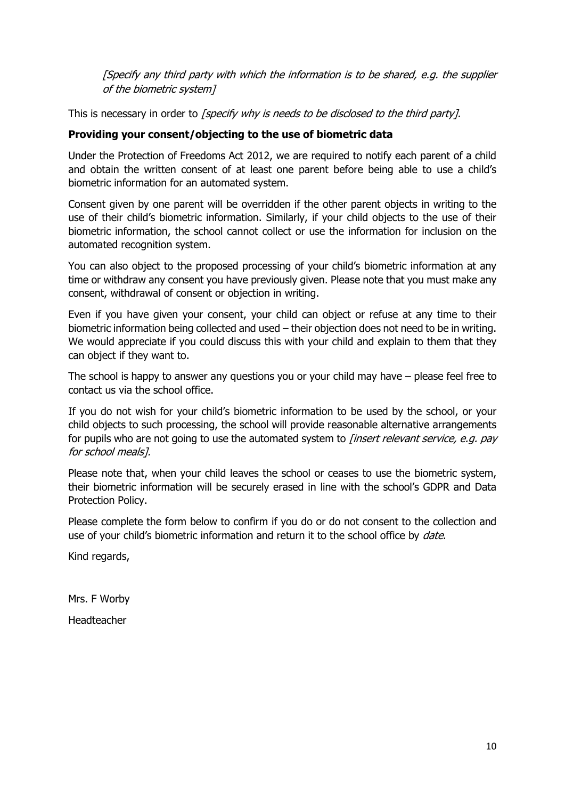[Specify any third party with which the information is to be shared, e.g. the supplier of the biometric system]

This is necessary in order to [specify why is needs to be disclosed to the third party].

#### **Providing your consent/objecting to the use of biometric data**

Under the Protection of Freedoms Act 2012, we are required to notify each parent of a child and obtain the written consent of at least one parent before being able to use a child's biometric information for an automated system.

Consent given by one parent will be overridden if the other parent objects in writing to the use of their child's biometric information. Similarly, if your child objects to the use of their biometric information, the school cannot collect or use the information for inclusion on the automated recognition system.

You can also object to the proposed processing of your child's biometric information at any time or withdraw any consent you have previously given. Please note that you must make any consent, withdrawal of consent or objection in writing.

Even if you have given your consent, your child can object or refuse at any time to their biometric information being collected and used – their objection does not need to be in writing. We would appreciate if you could discuss this with your child and explain to them that they can object if they want to.

The school is happy to answer any questions you or your child may have – please feel free to contact us via the school office.

If you do not wish for your child's biometric information to be used by the school, or your child objects to such processing, the school will provide reasonable alternative arrangements for pupils who are not going to use the automated system to *[insert relevant service, e.g. pay* for school meals].

Please note that, when your child leaves the school or ceases to use the biometric system, their biometric information will be securely erased in line with the school's GDPR and Data Protection Policy.

Please complete the form below to confirm if you do or do not consent to the collection and use of your child's biometric information and return it to the school office by *date*.

Kind regards,

Mrs. F Worby

Headteacher